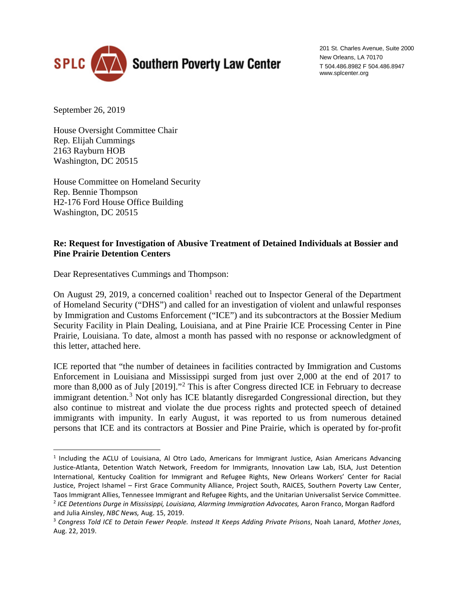

201 St. Charles Avenue, Suite 2000 New Orleans, LA 70170 T 504.486.8982 F 504.486.8947 www.splcenter.org

September 26, 2019

 $\overline{a}$ 

House Oversight Committee Chair Rep. Elijah Cummings 2163 Rayburn HOB Washington, DC 20515

House Committee on Homeland Security Rep. Bennie Thompson H2-176 Ford House Office Building Washington, DC 20515

## **Re: Request for Investigation of Abusive Treatment of Detained Individuals at Bossier and Pine Prairie Detention Centers**

Dear Representatives Cummings and Thompson:

On August 29, 20[1](#page-0-0)9, a concerned coalition<sup>1</sup> reached out to Inspector General of the Department of Homeland Security ("DHS") and called for an investigation of violent and unlawful responses by Immigration and Customs Enforcement ("ICE") and its subcontractors at the Bossier Medium Security Facility in Plain Dealing, Louisiana, and at Pine Prairie ICE Processing Center in Pine Prairie, Louisiana. To date, almost a month has passed with no response or acknowledgment of this letter, attached here.

ICE reported that "the number of detainees in facilities contracted by Immigration and Customs Enforcement in Louisiana and Mississippi surged from just over 2,000 at the end of 2017 to more than 8,000 as of July [2019]."[2](#page-0-1) This is after Congress directed ICE in February to decrease immigrant detention.<sup>[3](#page-0-2)</sup> Not only has ICE blatantly disregarded Congressional direction, but they also continue to mistreat and violate the due process rights and protected speech of detained immigrants with impunity. In early August, it was reported to us from numerous detained persons that ICE and its contractors at Bossier and Pine Prairie, which is operated by for-profit

<span id="page-0-0"></span><sup>1</sup> Including the ACLU of Louisiana, Al Otro Lado, Americans for Immigrant Justice, Asian Americans Advancing Justice-Atlanta, Detention Watch Network, Freedom for Immigrants, Innovation Law Lab, ISLA, Just Detention International, Kentucky Coalition for Immigrant and Refugee Rights, New Orleans Workers' Center for Racial Justice, Project Ishamel – First Grace Community Alliance, Project South, RAICES, Southern Poverty Law Center, Taos Immigrant Allies, Tennessee Immigrant and Refugee Rights, and the Unitarian Universalist Service Committee.

<span id="page-0-1"></span><sup>&</sup>lt;sup>2</sup> ICE Detentions Durge in Mississippi, Louisiana, Alarming Immigration Advocates, Aaron Franco, Morgan Radford and Julia Ainsley, *NBC News,* Aug. 15, 2019.

<span id="page-0-2"></span><sup>3</sup> *Congress Told ICE to Detain Fewer People. Instead It Keeps Adding Private Prisons*, Noah Lanard, *Mother Jones*, Aug. 22, 2019.